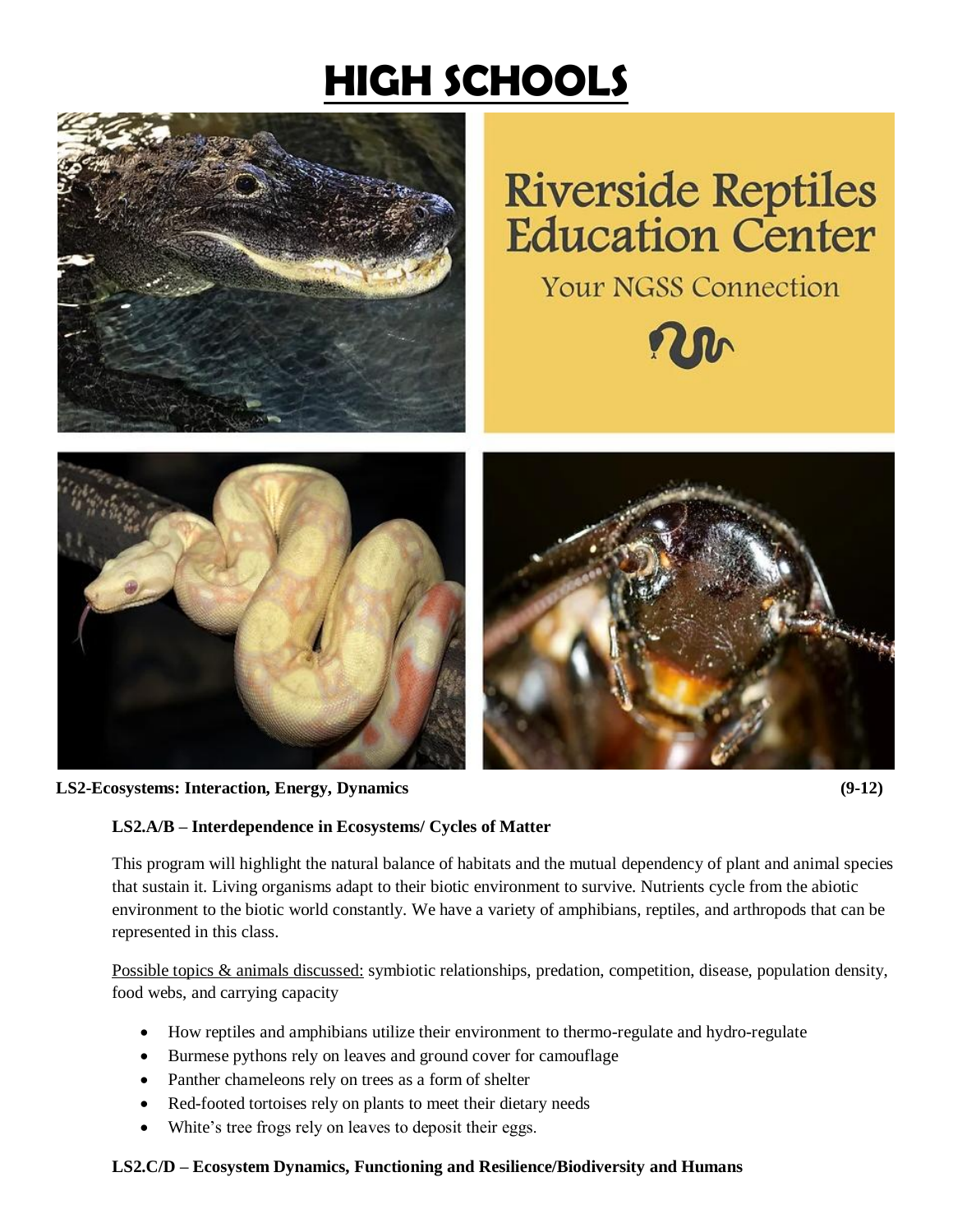# **HIGH SCHOOLS**



# **Riverside Reptiles Education Center**







**LS2-Ecosystems: Interaction, Energy, Dynamics (9-12)**



## **LS2.A/B – Interdependence in Ecosystems/ Cycles of Matter**

This program will highlight the natural balance of habitats and the mutual dependency of plant and animal species that sustain it. Living organisms adapt to their biotic environment to survive. Nutrients cycle from the abiotic environment to the biotic world constantly. We have a variety of amphibians, reptiles, and arthropods that can be represented in this class.

Possible topics & animals discussed: symbiotic relationships, predation, competition, disease, population density, food webs, and carrying capacity

- How reptiles and amphibians utilize their environment to thermo-regulate and hydro-regulate
- Burmese pythons rely on leaves and ground cover for camouflage
- Panther chameleons rely on trees as a form of shelter
- Red-footed tortoises rely on plants to meet their dietary needs
- White's tree frogs rely on leaves to deposit their eggs.

#### **LS2.C/D – Ecosystem Dynamics, Functioning and Resilience/Biodiversity and Humans**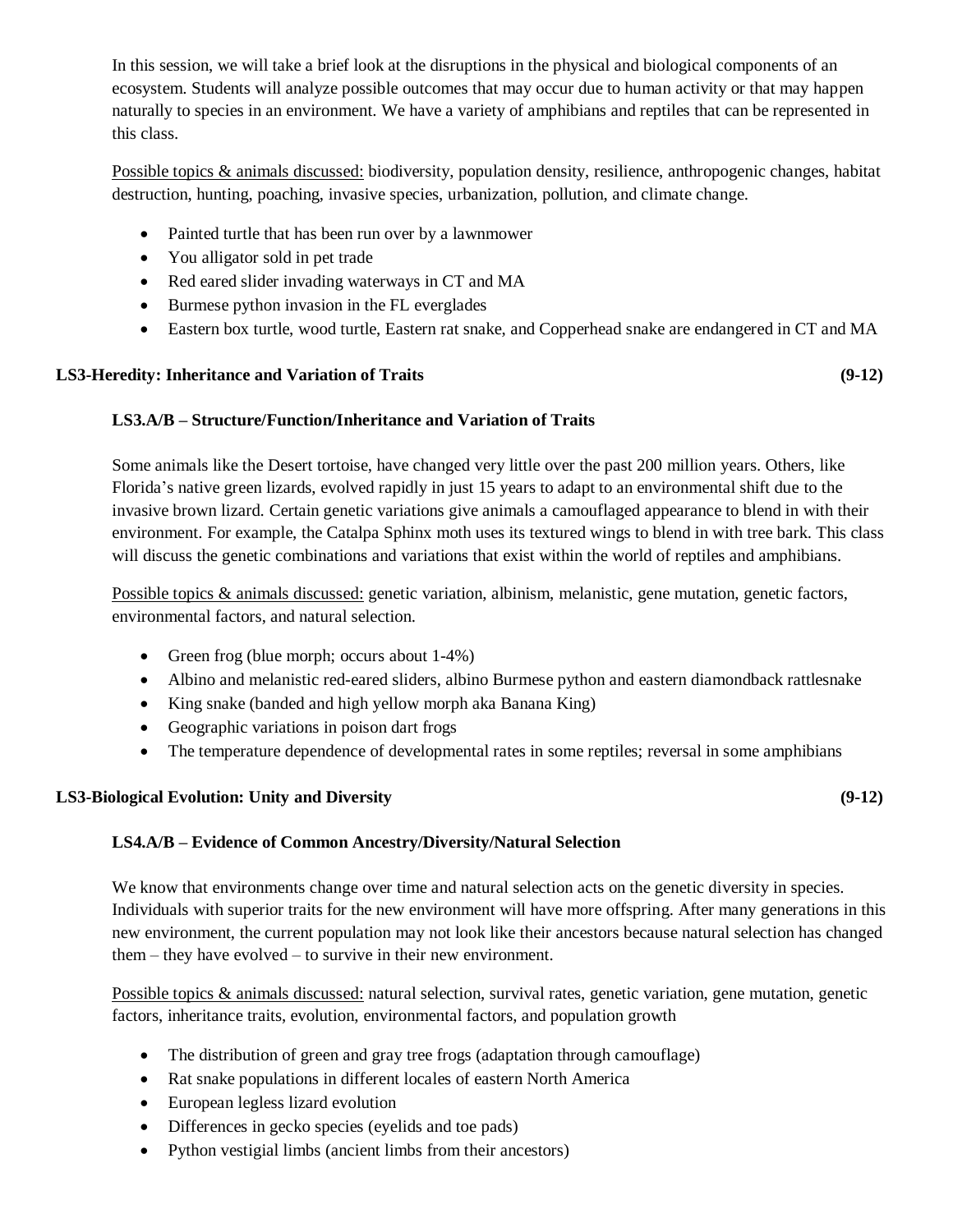In this session, we will take a brief look at the disruptions in the physical and biological components of an ecosystem. Students will analyze possible outcomes that may occur due to human activity or that may happen naturally to species in an environment. We have a variety of amphibians and reptiles that can be represented in this class.

Possible topics & animals discussed: biodiversity, population density, resilience, anthropogenic changes, habitat destruction, hunting, poaching, invasive species, urbanization, pollution, and climate change.

- Painted turtle that has been run over by a lawnmower
- You alligator sold in pet trade
- Red eared slider invading waterways in CT and MA
- Burmese python invasion in the FL everglades
- Eastern box turtle, wood turtle, Eastern rat snake, and Copperhead snake are endangered in CT and MA

#### **LS3-Heredity: Inheritance and Variation of Traits (9-12)**

#### **LS3.A/B – Structure/Function/Inheritance and Variation of Traits**

Some animals like the Desert tortoise, have changed very little over the past 200 million years. Others, like Florida's native green lizards, evolved rapidly in just 15 years to adapt to an environmental shift due to the invasive brown lizard. Certain genetic variations give animals a camouflaged appearance to blend in with their environment. For example, the Catalpa Sphinx moth uses its textured wings to blend in with tree bark. This class will discuss the genetic combinations and variations that exist within the world of reptiles and amphibians.

Possible topics & animals discussed: genetic variation, albinism, melanistic, gene mutation, genetic factors, environmental factors, and natural selection.

- Green frog (blue morph; occurs about  $1-4\%$ )
- Albino and melanistic red-eared sliders, albino Burmese python and eastern diamondback rattlesnake
- King snake (banded and high yellow morph aka Banana King)
- Geographic variations in poison dart frogs
- The temperature dependence of developmental rates in some reptiles; reversal in some amphibians

#### **LS3-Biological Evolution: Unity and Diversity (9-12)**

## **LS4.A/B – Evidence of Common Ancestry/Diversity/Natural Selection**

We know that environments change over time and natural selection acts on the genetic diversity in species. Individuals with superior traits for the new environment will have more offspring. After many generations in this new environment, the current population may not look like their ancestors because natural selection has changed them – they have evolved – to survive in their new environment.

Possible topics & animals discussed: natural selection, survival rates, genetic variation, gene mutation, genetic factors, inheritance traits, evolution, environmental factors, and population growth

- The distribution of green and gray tree frogs (adaptation through camouflage)
- Rat snake populations in different locales of eastern North America
- European legless lizard evolution
- Differences in gecko species (eyelids and toe pads)
- Python vestigial limbs (ancient limbs from their ancestors)